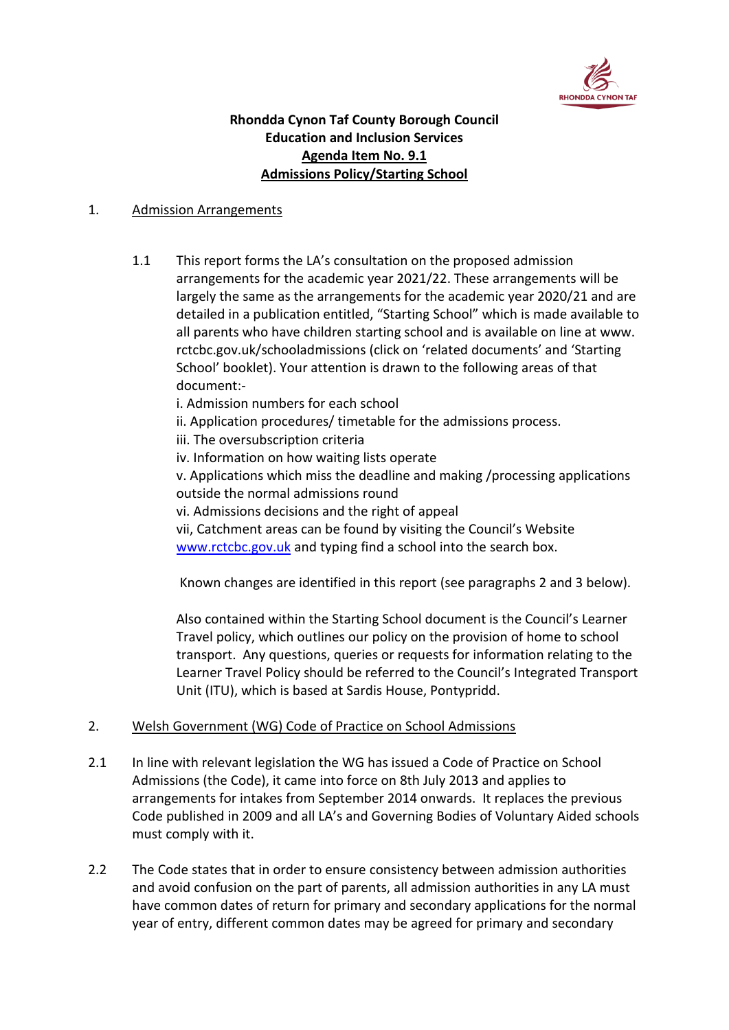

# **Rhondda Cynon Taf County Borough Council Education and Inclusion Services Agenda Item No. 9.1 Admissions Policy/Starting School**

### 1. Admission Arrangements

1.1 This report forms the LA's consultation on the proposed admission arrangements for the academic year 2021/22. These arrangements will be largely the same as the arrangements for the academic year 2020/21 and are detailed in a publication entitled, "Starting School" which is made available to all parents who have children starting school and is available on line at www. rctcbc.gov.uk/schooladmissions (click on 'related documents' and 'Starting School' booklet). Your attention is drawn to the following areas of that document:-

i. Admission numbers for each school

- ii. Application procedures/ timetable for the admissions process.
- iii. The oversubscription criteria

iv. Information on how waiting lists operate

v. Applications which miss the deadline and making /processing applications outside the normal admissions round

vi. Admissions decisions and the right of appeal

vii, Catchment areas can be found by visiting the Council's Website [www.rctcbc.gov.uk](http://www.rctcbc.gov.uk/) and typing find a school into the search box.

Known changes are identified in this report (see paragraphs 2 and 3 below).

Also contained within the Starting School document is the Council's Learner Travel policy, which outlines our policy on the provision of home to school transport. Any questions, queries or requests for information relating to the Learner Travel Policy should be referred to the Council's Integrated Transport Unit (ITU), which is based at Sardis House, Pontypridd.

## 2. Welsh Government (WG) Code of Practice on School Admissions

- 2.1 In line with relevant legislation the WG has issued a Code of Practice on School Admissions (the Code), it came into force on 8th July 2013 and applies to arrangements for intakes from September 2014 onwards. It replaces the previous Code published in 2009 and all LA's and Governing Bodies of Voluntary Aided schools must comply with it.
- 2.2 The Code states that in order to ensure consistency between admission authorities and avoid confusion on the part of parents, all admission authorities in any LA must have common dates of return for primary and secondary applications for the normal year of entry, different common dates may be agreed for primary and secondary